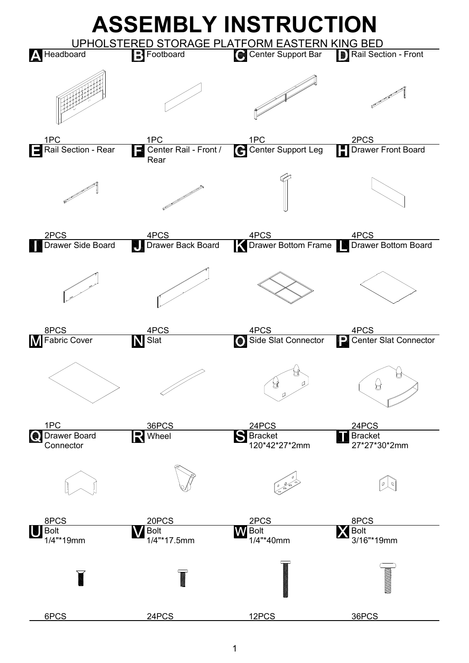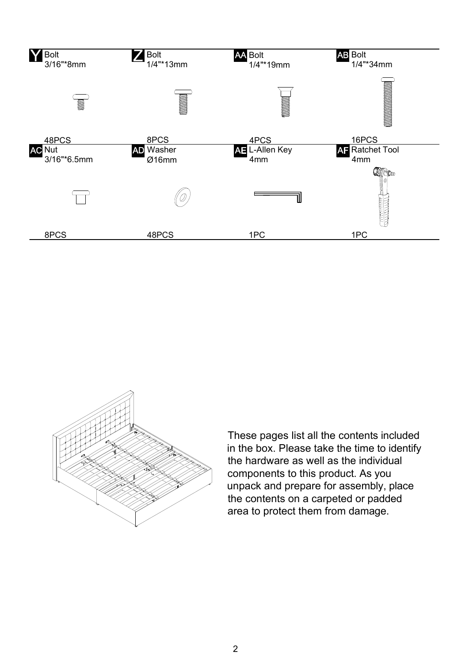



These pages list all the contents included in the box. Please take the time to identify the hardware as well as the individual components to this product. As you unpack and prepare for assembly, place the contents on a carpeted or padded area to protect them from damage.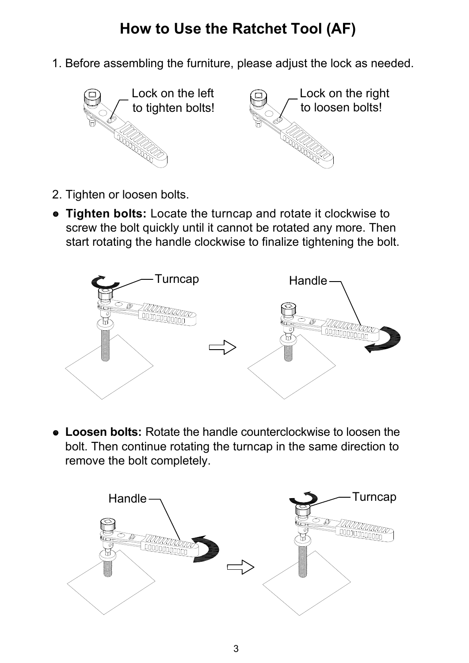## **How to Use the Ratchet Tool (AF)**

1. Before assembling the furniture, please adjust the lock as needed.



- 2. Tighten or loosen bolts.
- **Tighten bolts:** Locate the turncap and rotate it clockwise to screw the bolt quickly until it cannot be rotated any more. Then start rotating the handle clockwise to finalize tightening the bolt.



 **Loosen bolts:** Rotate the handle counterclockwise to loosen the bolt. Then continue rotating the turncap in the same direction to remove the bolt completely.

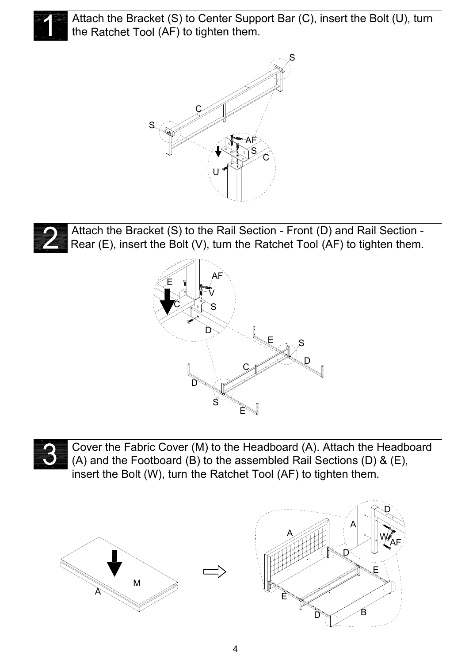

Attach the Bracket (S) to Center Support Bar (C), insert the Bolt (U), turn the Ratchet Tool (AF) to tighten them.





Attach the Bracket (S) to the Rail Section - Front (D) and Rail Section - Rear (E), insert the Bolt (V), turn the Ratchet Tool (AF) to tighten them.





Cover the Fabric Cover (M) to the Headboard (A). Attach the Headboard (A) and the Footboard (B) to the assembled Rail Sections (D) & (E), insert the Bolt (W), turn the Ratchet Tool (AF) to tighten them.



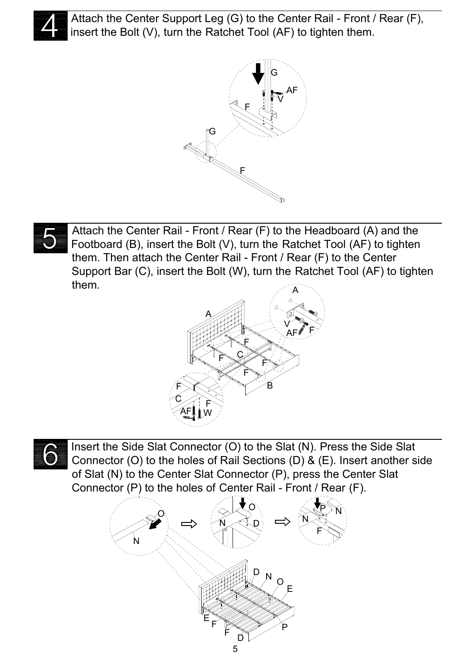

Attach the Center Support Leg (G) to the Center Rail - Front / Rear (F), insert the Bolt (V), turn the Ratchet Tool (AF) to tighten them.





Attach the Center Rail - Front / Rear (F) to the Headboard (A) and the Footboard (B), insert the Bolt (V), turn the Ratchet Tool (AF) to tighten them. Then attach the Center Rail - Front / Rear (F) to the Center Support Bar (C), insert the Bolt (W), turn the Ratchet Tool (AF) to tighten them.





Insert the Side Slat Connector (O) to the Slat (N). Press the Side Slat Connector (O) to the holes of Rail Sections (D) & (E). Insert another side of Slat (N) to the Center Slat Connector (P), press the Center Slat Connector (P) to the holes of Center Rail - Front / Rear (F).

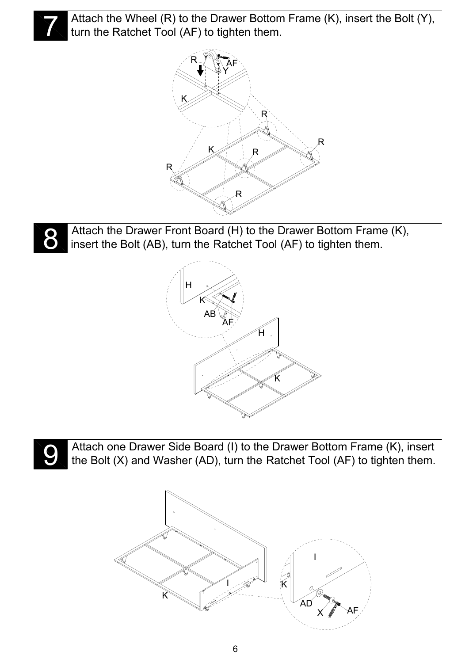

Attach the Wheel (R) to the Drawer Bottom Frame (K), insert the Bolt (Y), turn the Ratchet Tool (AF) to tighten them.





Attach the Drawer Front Board (H) to the Drawer Bottom Frame (K), insert the Bolt (AB), turn the Ratchet Tool (AF) to tighten them.





Attach one Drawer Side Board (I) to the Drawer Bottom Frame (K), insert the Bolt  $(X)$  and Washer (AD), turn the Ratchet Tool (AF) to tighten them.

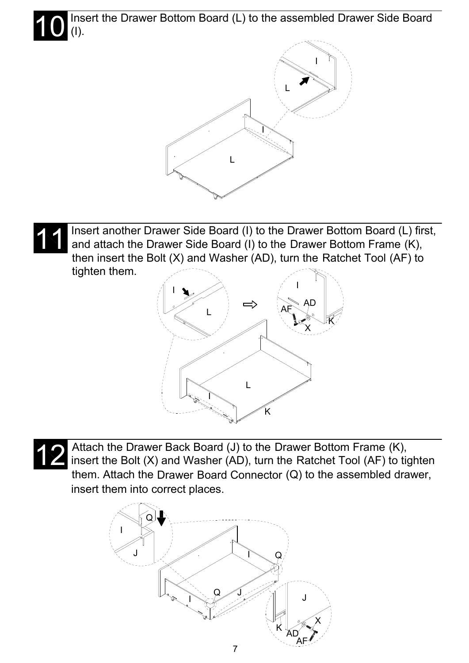10 Insert the Drawer Bottom Board (L) to the assembled Drawer Side Board (I).







Attach the Drawer Back Board (J) to the Drawer Bottom Frame (K),<br>insert the Bolt (X) and Washer (AD), turn the Ratchet Tool (AF) to tighten Attach the Drawer Back Board (J) to the Drawer Bottom Frame (K), them. Attach the Drawer Board Connector (Q) to the assembled drawer, insert them into correct places.

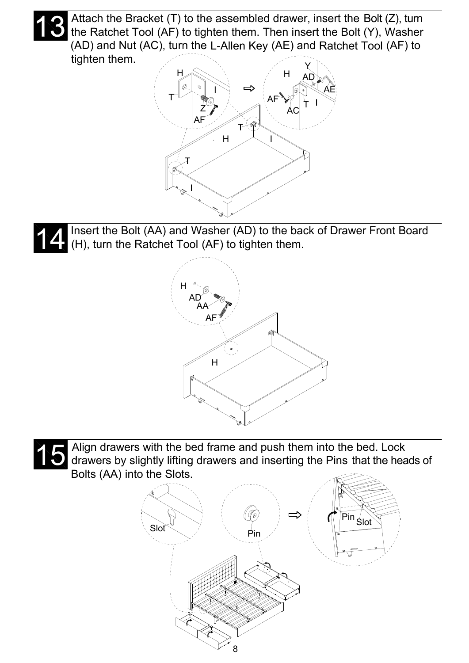Attach the Bracket (T) to the assembled drawer, insert the Bolt (Z), turn the Ratchet Tool (AF) to tighten them. Then insert the Bolt (Y), Washer (AD) and Nut (AC), turn the L-Allen Key (AE) and Ratchet Tool (AF) to tighten them.



Insert the Bolt (AA) and Washer (AD) to the back of Drawer Front Board (H), turn the Ratchet Tool (AF) to tighten them. 14





Align drawers with the bed frame and push them into the bed. Lock drawers by slightly lifting drawers and inserting the Pins that the heads of Bolts (AA) into the Slots.